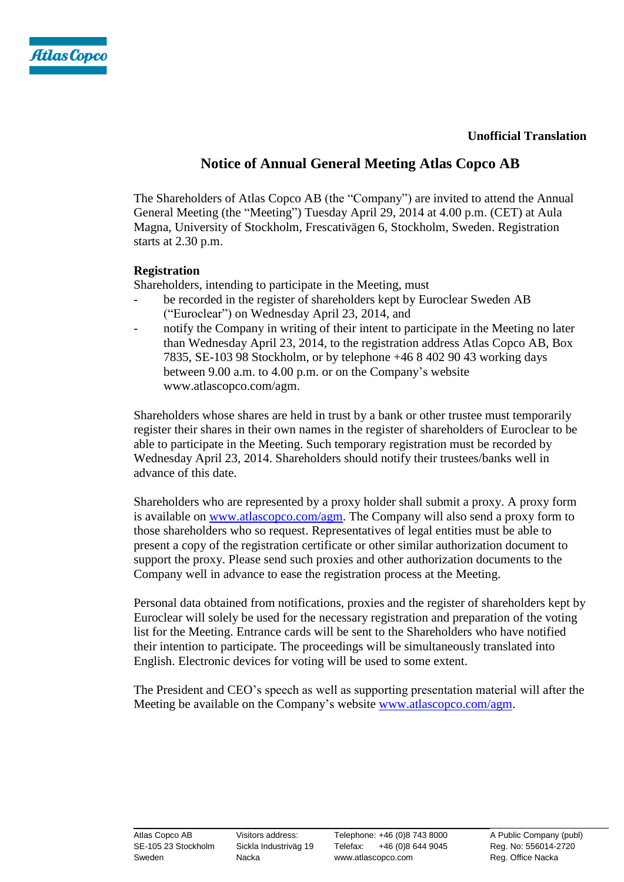



# **Notice of Annual General Meeting Atlas Copco AB**

The Shareholders of Atlas Copco AB (the "Company") are invited to attend the Annual General Meeting (the "Meeting") Tuesday April 29, 2014 at 4.00 p.m. (CET) at Aula Magna, University of Stockholm, Frescativägen 6, Stockholm, Sweden. Registration starts at 2.30 p.m.

# **Registration**

Shareholders, intending to participate in the Meeting, must

- be recorded in the register of shareholders kept by Euroclear Sweden AB ("Euroclear") on Wednesday April 23, 2014, and
- notify the Company in writing of their intent to participate in the Meeting no later than Wednesday April 23, 2014, to the registration address Atlas Copco AB, Box 7835, SE-103 98 Stockholm, or by telephone +46 8 402 90 43 working days between 9.00 a.m. to 4.00 p.m. or on the Company's website [www.atlascopco.com/agm.](http://www.atlascopco.com/agm)

Shareholders whose shares are held in trust by a bank or other trustee must temporarily register their shares in their own names in the register of shareholders of Euroclear to be able to participate in the Meeting. Such temporary registration must be recorded by Wednesday April 23, 2014. Shareholders should notify their trustees/banks well in advance of this date.

Shareholders who are represented by a proxy holder shall submit a proxy. A proxy form is available on [www.atlascopco.com/agm.](http://www.atlascopco.com/agm) The Company will also send a proxy form to those shareholders who so request. Representatives of legal entities must be able to present a copy of the registration certificate or other similar authorization document to support the proxy. Please send such proxies and other authorization documents to the Company well in advance to ease the registration process at the Meeting.

Personal data obtained from notifications, proxies and the register of shareholders kept by Euroclear will solely be used for the necessary registration and preparation of the voting list for the Meeting. Entrance cards will be sent to the Shareholders who have notified their intention to participate. The proceedings will be simultaneously translated into English. Electronic devices for voting will be used to some extent.

The President and CEO's speech as well as supporting presentation material will after the Meeting be available on the Company's website www.atlascopco.com/agm.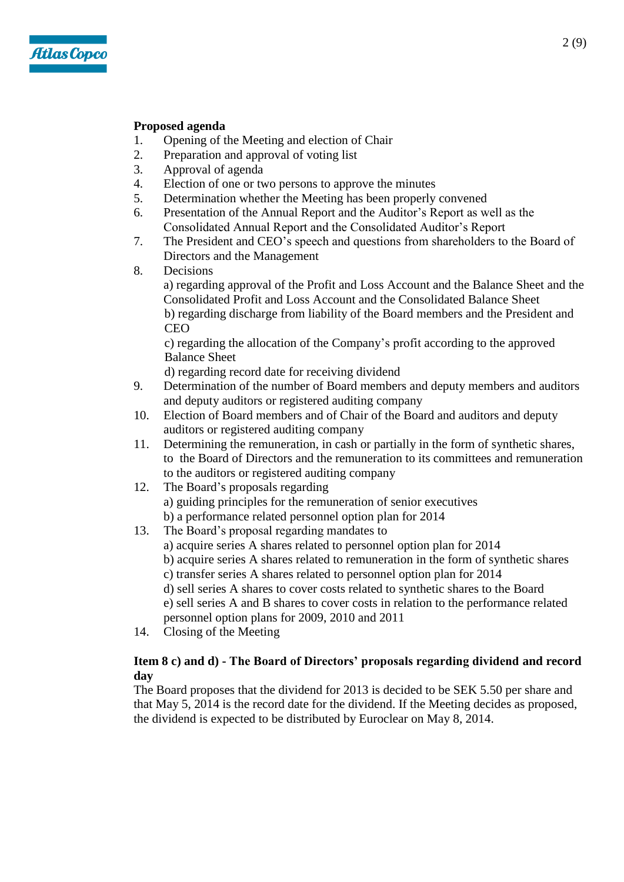

# **Proposed agenda**

- 1. Opening of the Meeting and election of Chair<br>2. Preparation and approval of voting list
- Preparation and approval of voting list
- 3. Approval of agenda
- 4. Election of one or two persons to approve the minutes
- 5. Determination whether the Meeting has been properly convened
- 6. Presentation of the Annual Report and the Auditor's Report as well as the Consolidated Annual Report and the Consolidated Auditor's Report
- 7. The President and CEO's speech and questions from shareholders to the Board of Directors and the Management
- 8. Decisions

a) regarding approval of the Profit and Loss Account and the Balance Sheet and the Consolidated Profit and Loss Account and the Consolidated Balance Sheet b) regarding discharge from liability of the Board members and the President and CEO

c) regarding the allocation of the Company's profit according to the approved Balance Sheet

d) regarding record date for receiving dividend

- 9. Determination of the number of Board members and deputy members and auditors and deputy auditors or registered auditing company
- 10. Election of Board members and of Chair of the Board and auditors and deputy auditors or registered auditing company
- 11. Determining the remuneration, in cash or partially in the form of synthetic shares, to the Board of Directors and the remuneration to its committees and remuneration to the auditors or registered auditing company
- 12. The Board's proposals regarding a) guiding principles for the remuneration of senior executives b) a performance related personnel option plan for 2014
- 13. The Board's proposal regarding mandates to
	- a) acquire series A shares related to personnel option plan for 2014
	- b) acquire series A shares related to remuneration in the form of synthetic shares
	- c) transfer series A shares related to personnel option plan for 2014
	- d) sell series A shares to cover costs related to synthetic shares to the Board
	- e) sell series A and B shares to cover costs in relation to the performance related personnel option plans for 2009, 2010 and 2011
- 14. Closing of the Meeting

# **Item 8 c) and d) - The Board of Directors' proposals regarding dividend and record day**

The Board proposes that the dividend for 2013 is decided to be SEK 5.50 per share and that May 5, 2014 is the record date for the dividend. If the Meeting decides as proposed, the dividend is expected to be distributed by Euroclear on May 8, 2014.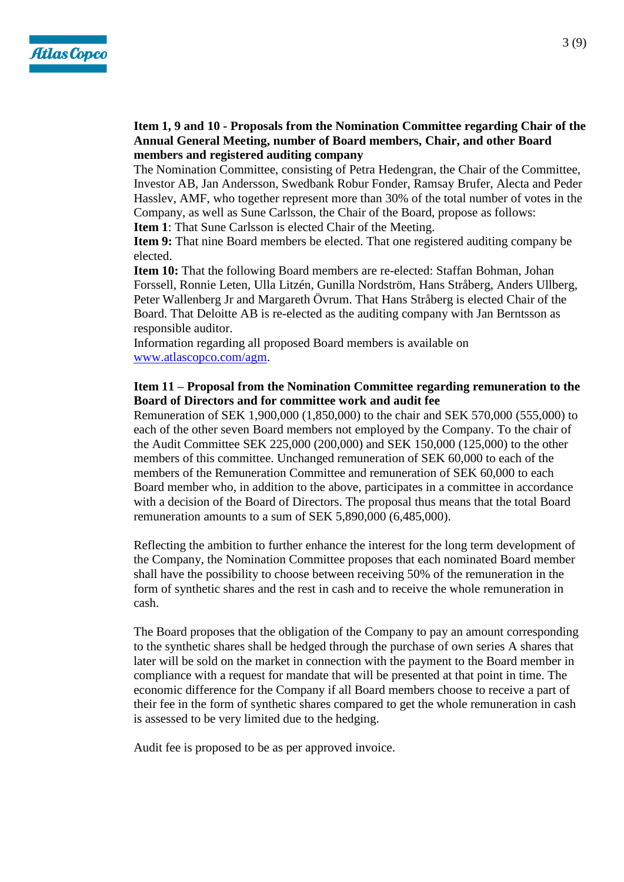

# **Item 1, 9 and 10 - Proposals from the Nomination Committee regarding Chair of the Annual General Meeting, number of Board members, Chair, and other Board members and registered auditing company**

The Nomination Committee, consisting of Petra Hedengran, the Chair of the Committee, Investor AB, Jan Andersson, Swedbank Robur Fonder, Ramsay Brufer, Alecta and Peder Hasslev, AMF, who together represent more than 30% of the total number of votes in the Company, as well as Sune Carlsson, the Chair of the Board, propose as follows:

**Item 1**: That Sune Carlsson is elected Chair of the Meeting.

**Item 9:** That nine Board members be elected. That one registered auditing company be elected.

**Item 10:** That the following Board members are re-elected: Staffan Bohman, Johan Forssell, Ronnie Leten, Ulla Litzén, Gunilla Nordström, Hans Stråberg, Anders Ullberg, Peter Wallenberg Jr and Margareth Övrum. That Hans Stråberg is elected Chair of the Board. That Deloitte AB is re-elected as the auditing company with Jan Berntsson as responsible auditor.

Information regarding all proposed Board members is available on [www.atlascopco.com/agm.](http://www.atlascopco.com/agm)

# **Item 11 – Proposal from the Nomination Committee regarding remuneration to the Board of Directors and for committee work and audit fee**

Remuneration of SEK 1,900,000 (1,850,000) to the chair and SEK 570,000 (555,000) to each of the other seven Board members not employed by the Company. To the chair of the Audit Committee SEK 225,000 (200,000) and SEK 150,000 (125,000) to the other members of this committee. Unchanged remuneration of SEK 60,000 to each of the members of the Remuneration Committee and remuneration of SEK 60,000 to each Board member who, in addition to the above, participates in a committee in accordance with a decision of the Board of Directors. The proposal thus means that the total Board remuneration amounts to a sum of SEK 5,890,000 (6,485,000).

Reflecting the ambition to further enhance the interest for the long term development of the Company, the Nomination Committee proposes that each nominated Board member shall have the possibility to choose between receiving 50% of the remuneration in the form of synthetic shares and the rest in cash and to receive the whole remuneration in cash.

The Board proposes that the obligation of the Company to pay an amount corresponding to the synthetic shares shall be hedged through the purchase of own series A shares that later will be sold on the market in connection with the payment to the Board member in compliance with a request for mandate that will be presented at that point in time. The economic difference for the Company if all Board members choose to receive a part of their fee in the form of synthetic shares compared to get the whole remuneration in cash is assessed to be very limited due to the hedging.

Audit fee is proposed to be as per approved invoice.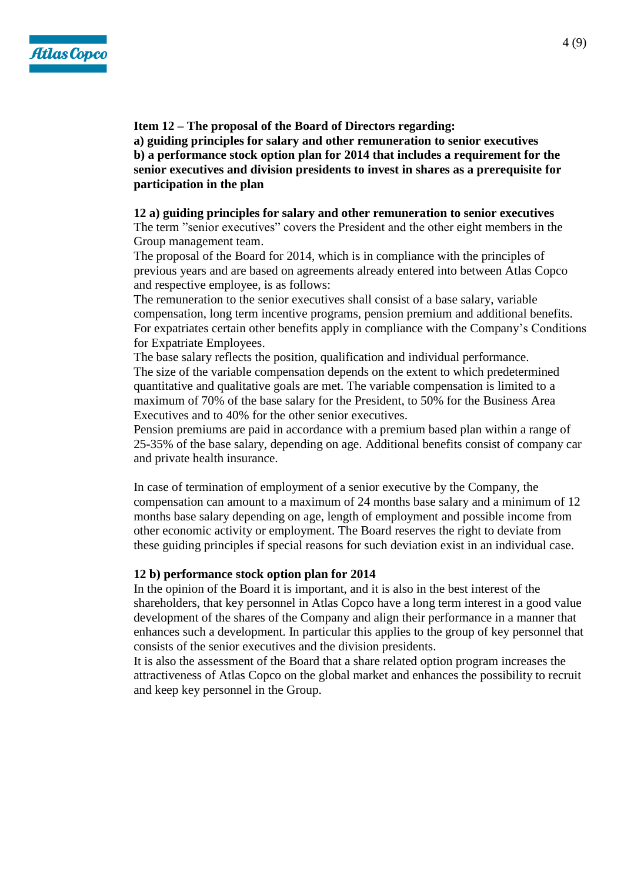

**Item 12 – The proposal of the Board of Directors regarding: a) guiding principles for salary and other remuneration to senior executives b) a performance stock option plan for 2014 that includes a requirement for the senior executives and division presidents to invest in shares as a prerequisite for participation in the plan**

## **12 a) guiding principles for salary and other remuneration to senior executives**

The term "senior executives" covers the President and the other eight members in the Group management team.

The proposal of the Board for 2014, which is in compliance with the principles of previous years and are based on agreements already entered into between Atlas Copco and respective employee, is as follows:

The remuneration to the senior executives shall consist of a base salary, variable compensation, long term incentive programs, pension premium and additional benefits. For expatriates certain other benefits apply in compliance with the Company's Conditions for Expatriate Employees.

The base salary reflects the position, qualification and individual performance. The size of the variable compensation depends on the extent to which predetermined quantitative and qualitative goals are met. The variable compensation is limited to a maximum of 70% of the base salary for the President, to 50% for the Business Area Executives and to 40% for the other senior executives.

Pension premiums are paid in accordance with a premium based plan within a range of 25-35% of the base salary, depending on age. Additional benefits consist of company car and private health insurance.

In case of termination of employment of a senior executive by the Company, the compensation can amount to a maximum of 24 months base salary and a minimum of 12 months base salary depending on age, length of employment and possible income from other economic activity or employment. The Board reserves the right to deviate from these guiding principles if special reasons for such deviation exist in an individual case.

#### **12 b) performance stock option plan for 2014**

In the opinion of the Board it is important, and it is also in the best interest of the shareholders, that key personnel in Atlas Copco have a long term interest in a good value development of the shares of the Company and align their performance in a manner that enhances such a development. In particular this applies to the group of key personnel that consists of the senior executives and the division presidents.

It is also the assessment of the Board that a share related option program increases the attractiveness of Atlas Copco on the global market and enhances the possibility to recruit and keep key personnel in the Group.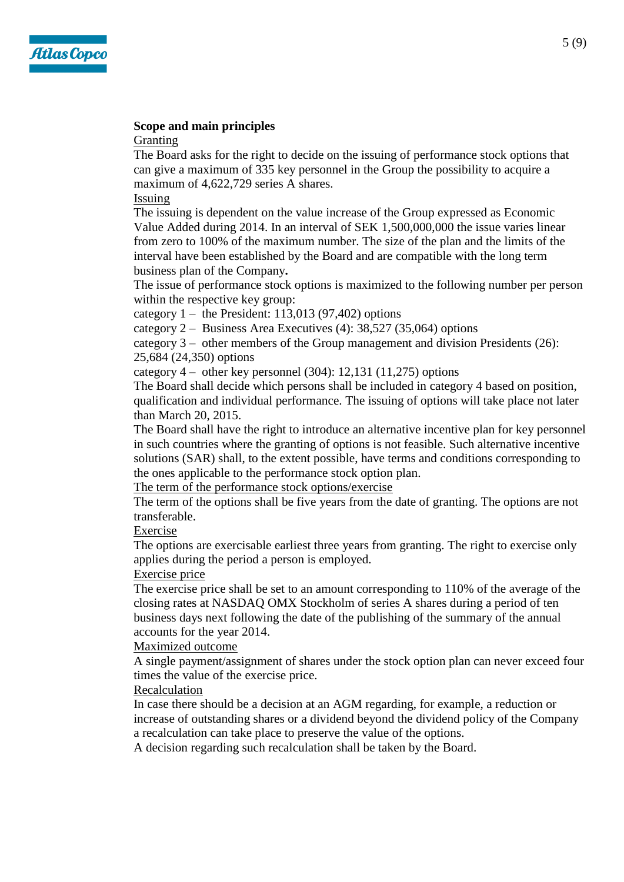

# **Scope and main principles**

Granting

The Board asks for the right to decide on the issuing of performance stock options that can give a maximum of 335 key personnel in the Group the possibility to acquire a maximum of 4,622,729 series A shares.

Issuing

The issuing is dependent on the value increase of the Group expressed as Economic Value Added during 2014. In an interval of SEK 1,500,000,000 the issue varies linear from zero to 100% of the maximum number. The size of the plan and the limits of the interval have been established by the Board and are compatible with the long term business plan of the Company**.**

The issue of performance stock options is maximized to the following number per person within the respective key group:

category  $1 -$  the President: 113,013 (97,402) options

category 2 – Business Area Executives (4): 38,527 (35,064) options

category  $3 -$  other members of the Group management and division Presidents (26): 25,684 (24,350) options

category 4 – other key personnel (304): 12,131 (11,275) options

The Board shall decide which persons shall be included in category 4 based on position, qualification and individual performance. The issuing of options will take place not later than March 20, 2015.

The Board shall have the right to introduce an alternative incentive plan for key personnel in such countries where the granting of options is not feasible. Such alternative incentive solutions (SAR) shall, to the extent possible, have terms and conditions corresponding to the ones applicable to the performance stock option plan.

The term of the performance stock options/exercise

The term of the options shall be five years from the date of granting. The options are not transferable.

Exercise

The options are exercisable earliest three years from granting. The right to exercise only applies during the period a person is employed.

Exercise price

The exercise price shall be set to an amount corresponding to 110% of the average of the closing rates at NASDAQ OMX Stockholm of series A shares during a period of ten business days next following the date of the publishing of the summary of the annual accounts for the year 2014.

Maximized outcome

A single payment/assignment of shares under the stock option plan can never exceed four times the value of the exercise price.

Recalculation

In case there should be a decision at an AGM regarding, for example, a reduction or increase of outstanding shares or a dividend beyond the dividend policy of the Company a recalculation can take place to preserve the value of the options.

A decision regarding such recalculation shall be taken by the Board.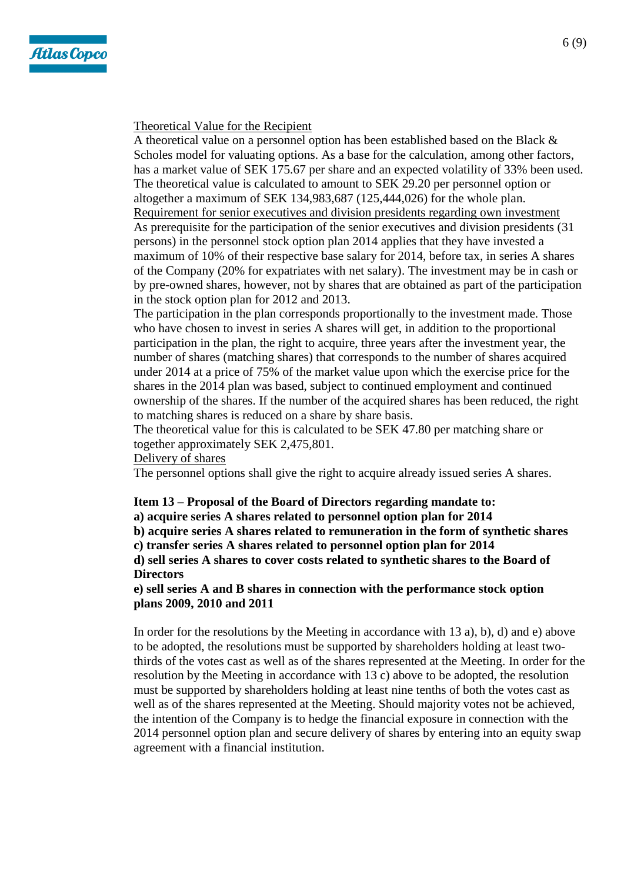

## Theoretical Value for the Recipient

A theoretical value on a personnel option has been established based on the Black & Scholes model for valuating options. As a base for the calculation, among other factors, has a market value of SEK 175.67 per share and an expected volatility of 33% been used. The theoretical value is calculated to amount to SEK 29.20 per personnel option or altogether a maximum of SEK 134,983,687 (125,444,026) for the whole plan. Requirement for senior executives and division presidents regarding own investment As prerequisite for the participation of the senior executives and division presidents (31 persons) in the personnel stock option plan 2014 applies that they have invested a maximum of 10% of their respective base salary for 2014, before tax, in series A shares of the Company (20% for expatriates with net salary). The investment may be in cash or by pre-owned shares, however, not by shares that are obtained as part of the participation in the stock option plan for 2012 and 2013.

The participation in the plan corresponds proportionally to the investment made. Those who have chosen to invest in series A shares will get, in addition to the proportional participation in the plan, the right to acquire, three years after the investment year, the number of shares (matching shares) that corresponds to the number of shares acquired under 2014 at a price of 75% of the market value upon which the exercise price for the shares in the 2014 plan was based, subject to continued employment and continued ownership of the shares. If the number of the acquired shares has been reduced, the right to matching shares is reduced on a share by share basis.

The theoretical value for this is calculated to be SEK 47.80 per matching share or together approximately SEK 2,475,801.

#### Delivery of shares

The personnel options shall give the right to acquire already issued series A shares.

#### **Item 13 – Proposal of the Board of Directors regarding mandate to:**

**a) acquire series A shares related to personnel option plan for 2014**

**b) acquire series A shares related to remuneration in the form of synthetic shares**

**c) transfer series A shares related to personnel option plan for 2014**

**d) sell series A shares to cover costs related to synthetic shares to the Board of Directors**

**e) sell series A and B shares in connection with the performance stock option plans 2009, 2010 and 2011**

In order for the resolutions by the Meeting in accordance with 13 a), b), d) and e) above to be adopted, the resolutions must be supported by shareholders holding at least twothirds of the votes cast as well as of the shares represented at the Meeting. In order for the resolution by the Meeting in accordance with 13 c) above to be adopted, the resolution must be supported by shareholders holding at least nine tenths of both the votes cast as well as of the shares represented at the Meeting. Should majority votes not be achieved, the intention of the Company is to hedge the financial exposure in connection with the 2014 personnel option plan and secure delivery of shares by entering into an equity swap agreement with a financial institution.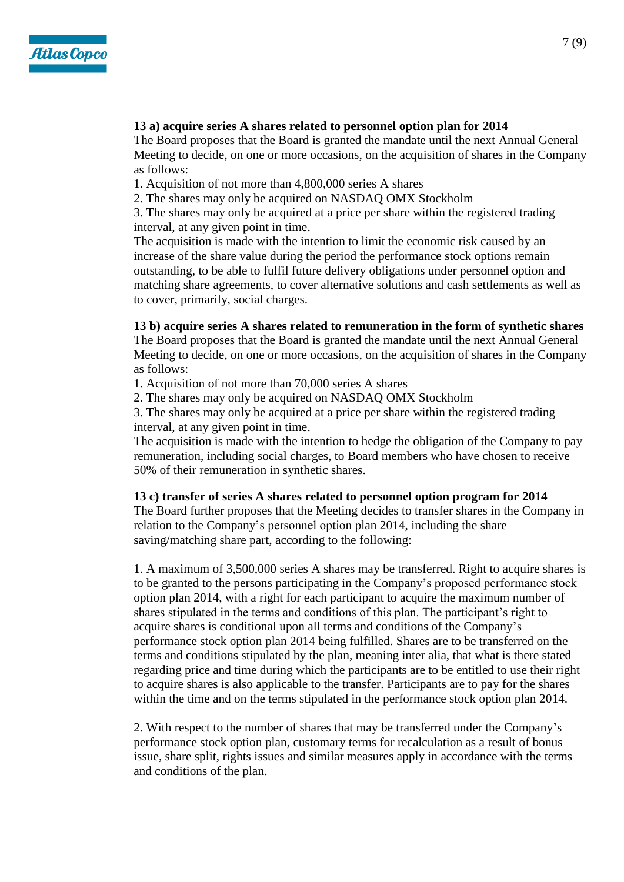

### **13 a) acquire series A shares related to personnel option plan for 2014**

The Board proposes that the Board is granted the mandate until the next Annual General Meeting to decide, on one or more occasions, on the acquisition of shares in the Company as follows:

1. Acquisition of not more than 4,800,000 series A shares

2. The shares may only be acquired on NASDAQ OMX Stockholm

3. The shares may only be acquired at a price per share within the registered trading interval, at any given point in time.

The acquisition is made with the intention to limit the economic risk caused by an increase of the share value during the period the performance stock options remain outstanding, to be able to fulfil future delivery obligations under personnel option and matching share agreements, to cover alternative solutions and cash settlements as well as to cover, primarily, social charges.

#### **13 b) acquire series A shares related to remuneration in the form of synthetic shares**

The Board proposes that the Board is granted the mandate until the next Annual General Meeting to decide, on one or more occasions, on the acquisition of shares in the Company as follows:

1. Acquisition of not more than 70,000 series A shares

2. The shares may only be acquired on NASDAQ OMX Stockholm

3. The shares may only be acquired at a price per share within the registered trading interval, at any given point in time.

The acquisition is made with the intention to hedge the obligation of the Company to pay remuneration, including social charges, to Board members who have chosen to receive 50% of their remuneration in synthetic shares.

#### **13 c) transfer of series A shares related to personnel option program for 2014**

The Board further proposes that the Meeting decides to transfer shares in the Company in relation to the Company's personnel option plan 2014, including the share saving/matching share part, according to the following:

1. A maximum of 3,500,000 series A shares may be transferred. Right to acquire shares is to be granted to the persons participating in the Company's proposed performance stock option plan 2014, with a right for each participant to acquire the maximum number of shares stipulated in the terms and conditions of this plan. The participant's right to acquire shares is conditional upon all terms and conditions of the Company's performance stock option plan 2014 being fulfilled. Shares are to be transferred on the terms and conditions stipulated by the plan, meaning inter alia, that what is there stated regarding price and time during which the participants are to be entitled to use their right to acquire shares is also applicable to the transfer. Participants are to pay for the shares within the time and on the terms stipulated in the performance stock option plan 2014.

2. With respect to the number of shares that may be transferred under the Company's performance stock option plan, customary terms for recalculation as a result of bonus issue, share split, rights issues and similar measures apply in accordance with the terms and conditions of the plan.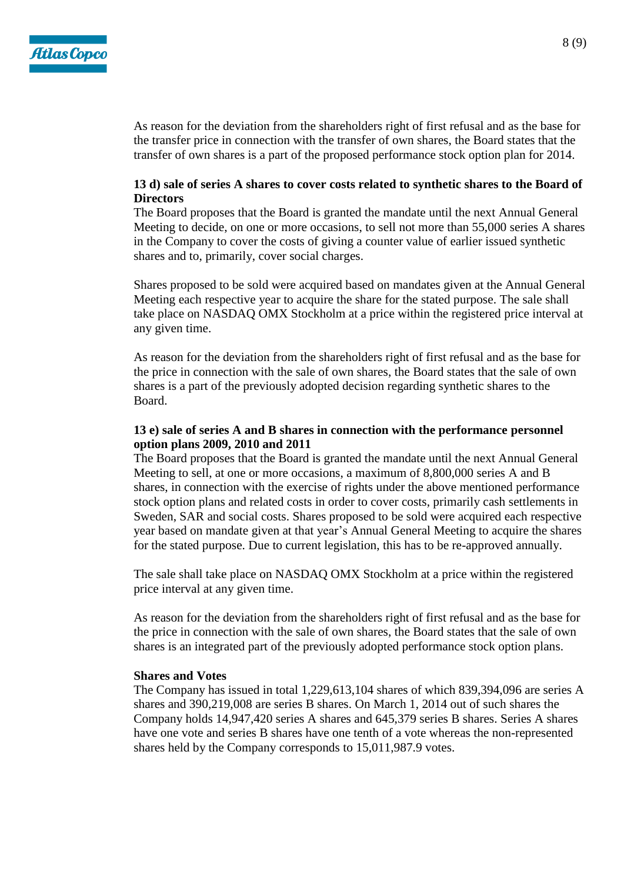

As reason for the deviation from the shareholders right of first refusal and as the base for the transfer price in connection with the transfer of own shares, the Board states that the transfer of own shares is a part of the proposed performance stock option plan for 2014.

# **13 d) sale of series A shares to cover costs related to synthetic shares to the Board of Directors**

The Board proposes that the Board is granted the mandate until the next Annual General Meeting to decide, on one or more occasions, to sell not more than 55,000 series A shares in the Company to cover the costs of giving a counter value of earlier issued synthetic shares and to, primarily, cover social charges.

Shares proposed to be sold were acquired based on mandates given at the Annual General Meeting each respective year to acquire the share for the stated purpose. The sale shall take place on NASDAQ OMX Stockholm at a price within the registered price interval at any given time.

As reason for the deviation from the shareholders right of first refusal and as the base for the price in connection with the sale of own shares, the Board states that the sale of own shares is a part of the previously adopted decision regarding synthetic shares to the Board.

# **13 e) sale of series A and B shares in connection with the performance personnel option plans 2009, 2010 and 2011**

The Board proposes that the Board is granted the mandate until the next Annual General Meeting to sell, at one or more occasions, a maximum of 8,800,000 series A and B shares, in connection with the exercise of rights under the above mentioned performance stock option plans and related costs in order to cover costs, primarily cash settlements in Sweden, SAR and social costs. Shares proposed to be sold were acquired each respective year based on mandate given at that year's Annual General Meeting to acquire the shares for the stated purpose. Due to current legislation, this has to be re-approved annually.

The sale shall take place on NASDAQ OMX Stockholm at a price within the registered price interval at any given time.

As reason for the deviation from the shareholders right of first refusal and as the base for the price in connection with the sale of own shares, the Board states that the sale of own shares is an integrated part of the previously adopted performance stock option plans.

#### **Shares and Votes**

The Company has issued in total 1,229,613,104 shares of which 839,394,096 are series A shares and 390,219,008 are series B shares. On March 1, 2014 out of such shares the Company holds 14,947,420 series A shares and 645,379 series B shares. Series A shares have one vote and series B shares have one tenth of a vote whereas the non-represented shares held by the Company corresponds to 15,011,987.9 votes.